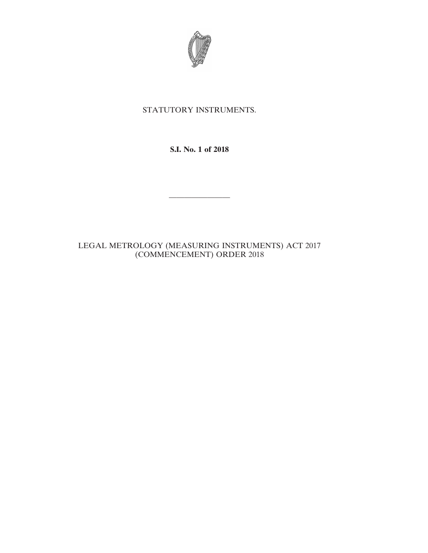

## STATUTORY INSTRUMENTS.

**S.I. No. 1 of 2018**

————————

LEGAL METROLOGY (MEASURING INSTRUMENTS) ACT 2017 (COMMENCEMENT) ORDER 2018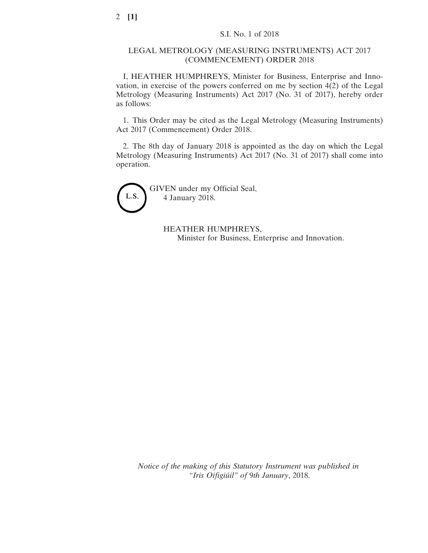## LEGAL METROLOGY (MEASURING INSTRUMENTS) ACT 2017 (COMMENCEMENT) ORDER 2018

I, HEATHER HUMPHREYS, Minister for Business, Enterprise and Innovation, in exercise of the powers conferred on me by section 4(2) of the Legal Metrology (Measuring Instruments) Act 2017 (No. 31 of 2017), hereby order as follows:

1. This Order may be cited as the Legal Metrology (Measuring Instruments) Act 2017 (Commencement) Order 2018.

2. The 8th day of January 2018 is appointed as the day on which the Legal Metrology (Measuring Instruments) Act 2017 (No. 31 of 2017) shall come into operation.



GIVEN under my Official Seal, 4 January 2018.

> HEATHER HUMPHREYS, Minister for Business, Enterprise and Innovation.

*Notice of the making of this Statutory Instrument was published in "Iris Oifigiúil" of* 9*th January*, 2018.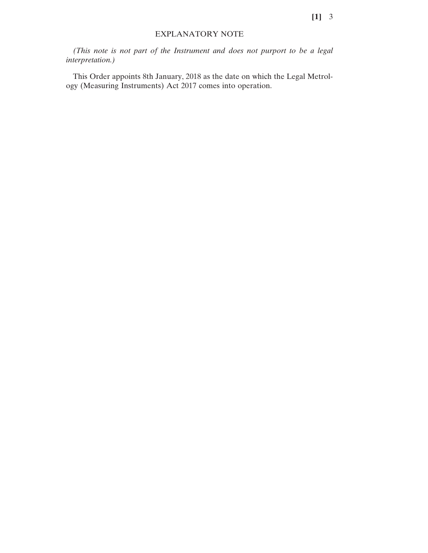## EXPLANATORY NOTE

*(This note is not part of the Instrument and does not purport to be a legal interpretation.)*

This Order appoints 8th January, 2018 as the date on which the Legal Metrology (Measuring Instruments) Act 2017 comes into operation.